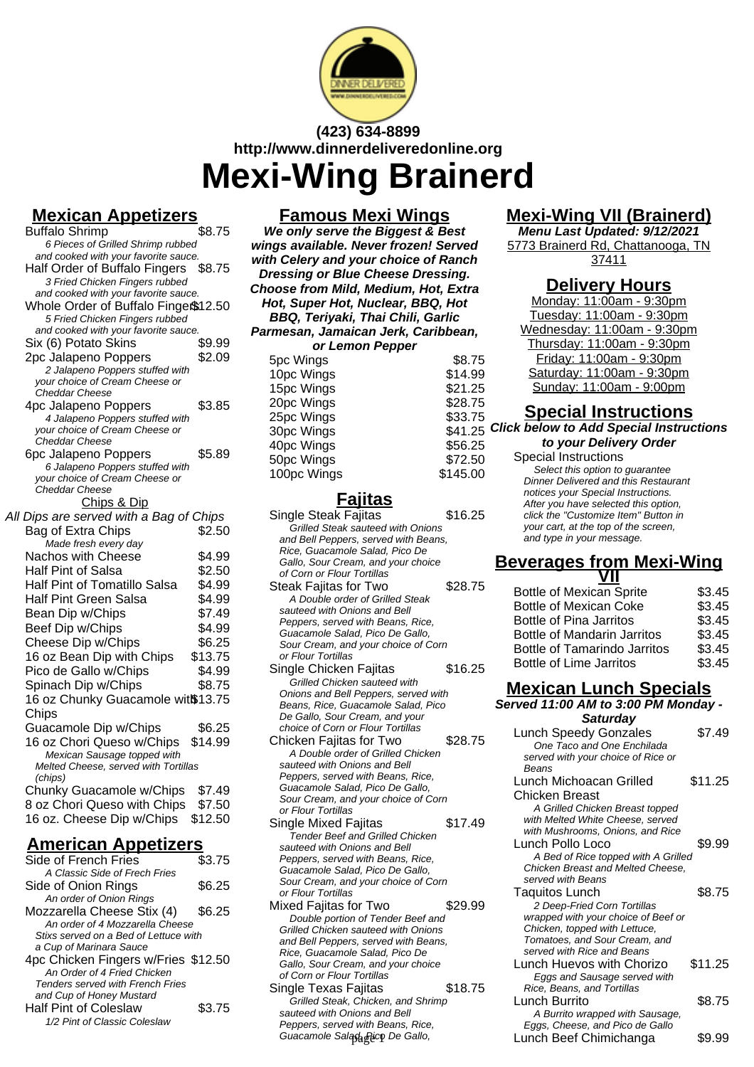

# **(423) 634-8899 http://www.dinnerdeliveredonline.org Mexi-Wing Brainerd**

### **Mexican Appetizers**

| <b>Buffalo Shrimp</b>                            | \$8.75  |
|--------------------------------------------------|---------|
| 6 Pieces of Grilled Shrimp rubbed                |         |
| and cooked with your favorite sauce.             |         |
| Half Order of Buffalo Fingers                    | \$8.75  |
| 3 Fried Chicken Fingers rubbed                   |         |
| and cooked with your favorite sauce.             |         |
| Whole Order of Buffalo Finge \$12.50             |         |
| 5 Fried Chicken Fingers rubbed                   |         |
| and cooked with your favorite sauce.             |         |
| Six (6) Potato Skins                             | \$9.99  |
| 2pc Jalapeno Poppers                             | \$2.09  |
| 2 Jalapeno Poppers stuffed with                  |         |
| your choice of Cream Cheese or                   |         |
| Cheddar Cheese                                   |         |
| 4pc Jalapeno Poppers                             | \$3.85  |
| 4 Jalapeno Poppers stuffed with                  |         |
| your choice of Cream Cheese or                   |         |
| <b>Cheddar Cheese</b>                            |         |
| 6pc Jalapeno Poppers                             | \$5.89  |
| 6 Jalapeno Poppers stuffed with                  |         |
| your choice of Cream Cheese or<br>Cheddar Cheese |         |
|                                                  |         |
| Chips & Dip                                      |         |
| All Dips are served with a Bag of Chips          |         |
| Bag of Extra Chips                               | \$2.50  |
| Made fresh every day                             |         |
| <b>Nachos with Cheese</b>                        | \$4.99  |
| Half Pint of Salsa                               | \$2.50  |
| Half Pint of Tomatillo Salsa                     | \$4.99  |
| <b>Half Pint Green Salsa</b>                     | \$4.99  |
| Bean Dip w/Chips                                 | \$7.49  |
| Beef Dip w/Chips                                 | \$4.99  |
| Cheese Dip w/Chips                               | \$6.25  |
|                                                  |         |
| 16 oz Bean Dip with Chips                        | \$13.75 |
| Pico de Gallo w/Chips                            | \$4.99  |
| Spinach Dip w/Chips                              | \$8.75  |
| 16 oz Chunky Guacamole witß13.75                 |         |
| Chips                                            |         |
| Guacamole Dip w/Chips                            | \$6.25  |
| 16 oz Chori Queso w/Chips                        | \$14.99 |
| Mexican Sausage topped with                      |         |
| Melted Cheese, served with Tortillas             |         |
| (chips)                                          |         |
| Chunky Guacamole w/Chips                         | \$7.49  |
| 8 oz Chori Queso with Chips                      | \$7.50  |
|                                                  |         |
| 16 oz. Cheese Dip w/Chips                        | \$12.50 |

### **American Appetizers**

| Side of French Fries                    | \$3.75 |
|-----------------------------------------|--------|
| A Classic Side of Frech Fries           |        |
| Side of Onion Rings                     | \$6.25 |
| An order of Onion Rings                 |        |
| Mozzarella Cheese Stix (4)              | \$6.25 |
| An order of 4 Mozzarella Cheese         |        |
| Stixs served on a Bed of Lettuce with   |        |
| a Cup of Marinara Sauce                 |        |
| 4pc Chicken Fingers w/Fries \$12.50     |        |
| An Order of 4 Fried Chicken             |        |
| <b>Tenders served with French Fries</b> |        |
| and Cup of Honey Mustard                |        |
| <b>Half Pint of Coleslaw</b>            | \$3.75 |
| 1/2 Pint of Classic Coleslaw            |        |

#### **Famous Mexi Wings**

**We only serve the Biggest & Best wings available. Never frozen! Served with Celery and your choice of Ranch Dressing or Blue Cheese Dressing. Choose from Mild, Medium, Hot, Extra Hot, Super Hot, Nuclear, BBQ, Hot BBQ, Teriyaki, Thai Chili, Garlic Parmesan, Jamaican Jerk, Caribbean, or Lemon Pepper** 5pc Wings  $$8.75$ 10pc Wings  $$14.99$ 15pc Wings \$21.25 20pc Wings \$28.75 25pc Wings \$33.75 30pc Wings 40pc Wings \$56.25

### **Fajitas**

50pc Wings \$72.50 100pc Wings \$145.00

- Single Steak Fajitas \$16.25 Grilled Steak sauteed with Onions and Bell Peppers, served with Beans, Rice, Guacamole Salad, Pico De Gallo, Sour Cream, and your choice of Corn or Flour Tortillas Steak Fajitas for Two \$28.75 A Double order of Grilled Steak sauteed with Onions and Bell Peppers, served with Beans, Rice, Guacamole Salad, Pico De Gallo, Sour Cream, and your choice of Corn or Flour Tortillas Single Chicken Fajitas \$16.25 Grilled Chicken sauteed with
- Onions and Bell Peppers, served with Beans, Rice, Guacamole Salad, Pico De Gallo, Sour Cream, and your choice of Corn or Flour Tortillas Chicken Fajitas for Two \$28.75
- A Double order of Grilled Chicken sauteed with Onions and Bell Peppers, served with Beans, Rice, Guacamole Salad, Pico De Gallo, Sour Cream, and your choice of Corn or Flour Tortillas
- Single Mixed Fajitas \$17.49 Tender Beef and Grilled Chicken sauteed with Onions and Bell Peppers, served with Beans, Rice, Guacamole Salad, Pico De Gallo, Sour Cream, and your choice of Corn or Flour Tortillas
- Mixed Fajitas for Two \$29.99 Double portion of Tender Beef and Grilled Chicken sauteed with Onions and Bell Peppers, served with Beans, Rice, Guacamole Salad, Pico De Gallo, Sour Cream, and your choice of Corn or Flour Tortillas
- Single Texas Fajitas **\$18.75** Grilled Steak, Chicken, and Shrimp sauteed with Onions and Bell Peppers, served with Beans, Rice,

### **Mexi-Wing VII (Brainerd)**

**Menu Last Updated: 9/12/2021** 5773 Brainerd Rd, Chattanooga, TN 37411

### **Delivery Hours**

Monday: 11:00am - 9:30pm Tuesday: 11:00am - 9:30pm Wednesday: 11:00am - 9:30pm Thursday: 11:00am - 9:30pm Friday: 11:00am - 9:30pm Saturday: 11:00am - 9:30pm Sunday: 11:00am - 9:00pm

### **Special Instructions**

\$41.25 Click below to Add Special Instructions **to your Delivery Order**

Special Instructions

Select this option to quarantee Dinner Delivered and this Restaurant notices your Special Instructions. After you have selected this option, click the "Customize Item" Button in your cart, at the top of the screen, and type in your message.

#### **Beverages from Mexi-Wing VII**

| <b>Bottle of Mexican Sprite</b>     | \$3.45 |
|-------------------------------------|--------|
| <b>Bottle of Mexican Coke</b>       | \$3.45 |
| <b>Bottle of Pina Jarritos</b>      | \$3.45 |
| <b>Bottle of Mandarin Jarritos</b>  | \$3.45 |
| <b>Bottle of Tamarindo Jarritos</b> | \$3.45 |
| <b>Bottle of Lime Jarritos</b>      | \$3.45 |
|                                     |        |

### **Mexican Lunch Specials**

**Served 11:00 AM to 3:00 PM Monday - Saturday**

| choice of Corn or Flour Tortillas<br>hicken Fajitas for Two<br>A Double order of Grilled Chicken<br>sauteed with Onions and Bell                                                                 | \$28.75 | <b>Lunch Speedy Gonzales</b><br>One Taco and One Enchilada<br>served with your choice of Rice or<br>Beans                                                                            | \$7.49  |
|--------------------------------------------------------------------------------------------------------------------------------------------------------------------------------------------------|---------|--------------------------------------------------------------------------------------------------------------------------------------------------------------------------------------|---------|
| Peppers, served with Beans, Rice,<br>Guacamole Salad, Pico De Gallo,<br>Sour Cream, and your choice of Corn<br>or Flour Tortillas<br>ingle Mixed Fajitas                                         | \$17.49 | Lunch Michoacan Grilled<br>Chicken Breast<br>A Grilled Chicken Breast topped<br>with Melted White Cheese, served<br>with Mushrooms, Onions, and Rice                                 | \$11.25 |
| <b>Tender Beef and Grilled Chicken</b><br>sauteed with Onions and Bell<br>Peppers, served with Beans, Rice,<br>Guacamole Salad, Pico De Gallo,<br>Sour Cream, and your choice of Corn            |         | Lunch Pollo Loco<br>A Bed of Rice topped with A Grilled<br>Chicken Breast and Melted Cheese,<br>served with Beans                                                                    | \$9.99  |
| or Flour Tortillas<br>ixed Fajitas for Two<br>Double portion of Tender Beef and<br>Grilled Chicken sauteed with Onions<br>and Bell Peppers, served with Beans,<br>Rice, Guacamole Salad, Pico De | \$29.99 | Taquitos Lunch<br>2 Deep-Fried Corn Tortillas<br>wrapped with your choice of Beef or<br>Chicken, topped with Lettuce,<br>Tomatoes, and Sour Cream, and<br>served with Rice and Beans | \$8.75  |
| Gallo, Sour Cream, and your choice<br>of Corn or Flour Tortillas<br>ingle Texas Fajitas                                                                                                          | \$18.75 | Lunch Huevos with Chorizo<br>Eggs and Sausage served with<br>Rice, Beans, and Tortillas                                                                                              | \$11.25 |
| Grilled Steak, Chicken, and Shrimp<br>sauteed with Onions and Bell<br>Peppers, served with Beans, Rice,                                                                                          |         | Lunch Burrito<br>A Burrito wrapped with Sausage,<br>Eggs, Cheese, and Pico de Gallo                                                                                                  | \$8.75  |
| Guacamole Salagh Picp De Gallo,                                                                                                                                                                  |         | Lunch Beef Chimichanga                                                                                                                                                               | \$9.99  |
|                                                                                                                                                                                                  |         |                                                                                                                                                                                      |         |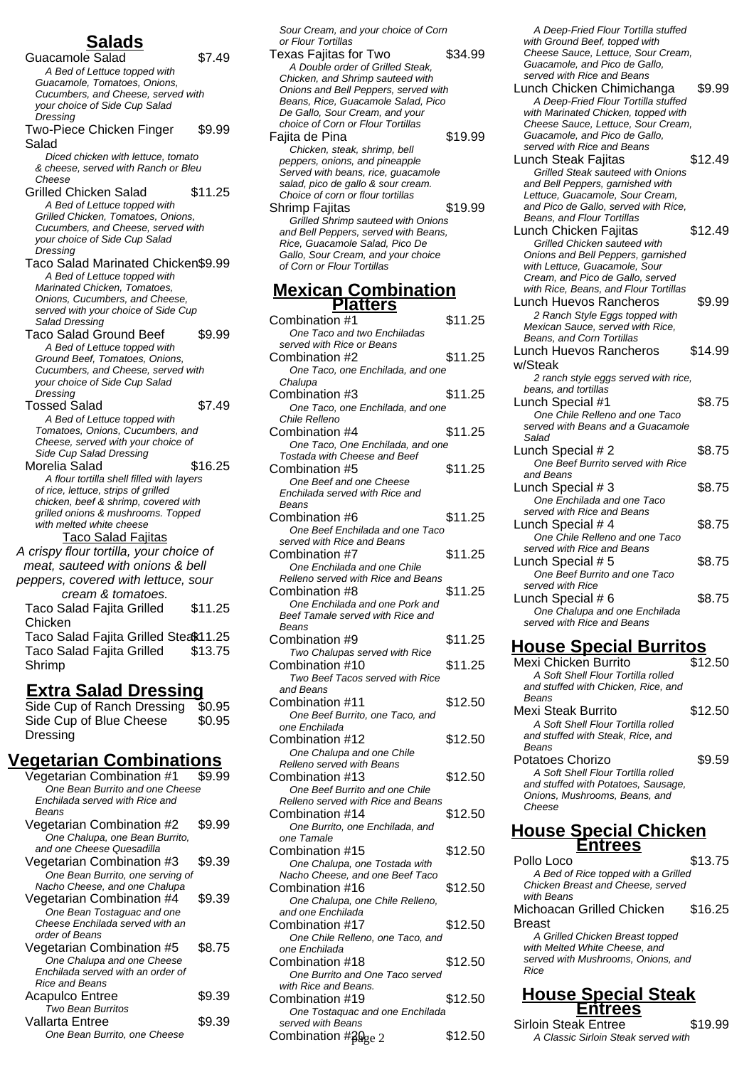## **Salads**

Guacamole Salad \$7.49 A Bed of Lettuce topped with Guacamole, Tomatoes, Onions, Cucumbers, and Cheese, served with your choice of Side Cup Salad **Dressing** Two-Piece Chicken Finger Salad \$9.99 Diced chicken with lettuce, tomato & cheese, served with Ranch or Bleu Cheese Grilled Chicken Salad \$11.25 A Bed of Lettuce topped with Grilled Chicken, Tomatoes, Onions, Cucumbers, and Cheese, served with your choice of Side Cup Salad Dressing Taco Salad Marinated Chicken\$9.99 A Bed of Lettuce topped with Marinated Chicken, Tomatoes, Onions, Cucumbers, and Cheese, served with your choice of Side Cup Salad Dressing Taco Salad Ground Beef \$9.99 A Bed of Lettuce topped with Ground Beef, Tomatoes, Onions, Cucumbers, and Cheese, served with your choice of Side Cup Salad **Dressing** Tossed Salad \$7.49 A Bed of Lettuce topped with Tomatoes, Onions, Cucumbers, and Cheese, served with your choice of Side Cup Salad Dressing Morelia Salad \$16.25 A flour tortilla shell filled with layers of rice, lettuce, strips of grilled chicken, beef & shrimp, covered with grilled onions & mushrooms. Topped with melted white cheese Taco Salad Fajitas A crispy flour tortilla, your choice of meat, sauteed with onions & bell peppers, covered with lettuce, sour cream & tomatoes. Taco Salad Fajita Grilled Chicken \$11.25 Taco Salad Fajita Grilled Steak11.25 Taco Salad Fajita Grilled Shrimp \$13.75

#### **Extra Salad Dressing**

Side Cup of Ranch Dressing \$0.95 Side Cup of Blue Cheese Dressing \$0.95

### **Vegetarian Combinations**

| Vegetarian Combination #1         | \$9.99 |
|-----------------------------------|--------|
| One Bean Burrito and one Cheese   |        |
| Enchilada served with Rice and    |        |
| Beans                             |        |
| Vegetarian Combination #2         | \$9.99 |
| One Chalupa, one Bean Burrito,    |        |
| and one Cheese Quesadilla         |        |
| Vegetarian Combination #3         | \$9.39 |
| One Bean Burrito, one serving of  |        |
| Nacho Cheese, and one Chalupa     |        |
| Vegetarian Combination #4         | \$9.39 |
| One Bean Tostaguac and one        |        |
| Cheese Enchilada served with an   |        |
| order of Beans                    |        |
| Vegetarian Combination #5         | \$8.75 |
| One Chalupa and one Cheese        |        |
| Enchilada served with an order of |        |
| <b>Rice and Beans</b>             |        |
| <b>Acapulco Entree</b>            | \$9.39 |
| <b>Two Bean Burritos</b>          |        |
| Vallarta Entree                   | \$9.39 |
| One Bean Burrito, one Cheese      |        |

Sour Cream, and your choice of Corn or Flour Tortillas

Texas Fajitas for Two \$34.99 A Double order of Grilled Steak, Chicken, and Shrimp sauteed with Onions and Bell Peppers, served with Beans, Rice, Guacamole Salad, Pico De Gallo, Sour Cream, and your choice of Corn or Flour Tortillas Fajita de Pina  $$19.99$ Chicken, steak, shrimp, bell peppers, onions, and pineapple Served with beans, rice, guacamole salad, pico de gallo & sour cream. Choice of corn or flour tortillas Shrimp Fajitas \$19.99 Grilled Shrimp sauteed with Onions and Bell Peppers, served with Beans, Rice, Guacamole Salad, Pico De Gallo, Sour Cream, and your choice of Corn or Flour Tortillas

#### **Mexican Combination Platters**

| Combination #1                                                    | \$11.25 |  |
|-------------------------------------------------------------------|---------|--|
| One Taco and two Enchiladas                                       |         |  |
| served with Rice or Beans                                         |         |  |
| Combination #2                                                    | \$11.25 |  |
| One Taco, one Enchilada, and one                                  |         |  |
| Chalupa                                                           |         |  |
| Combination #3                                                    | \$11.25 |  |
| One Taco, one Enchilada, and one                                  |         |  |
| Chile Relleno                                                     |         |  |
| Combination #4                                                    | \$11.25 |  |
| One Taco, One Enchilada, and one                                  |         |  |
| Tostada with Cheese and Beef                                      |         |  |
| Combination #5                                                    | \$11.25 |  |
| One Beef and one Cheese                                           |         |  |
| Enchilada served with Rice and                                    |         |  |
| Beans                                                             |         |  |
| Combination #6                                                    | \$11.25 |  |
| One Beef Enchilada and one Taco                                   |         |  |
| served with Rice and Beans                                        |         |  |
| Combination #7                                                    | \$11.25 |  |
|                                                                   |         |  |
| One Enchilada and one Chile<br>Relleno served with Rice and Beans |         |  |
| Combination #8                                                    |         |  |
|                                                                   | \$11.25 |  |
| One Enchilada and one Pork and                                    |         |  |
| Beef Tamale served with Rice and<br>Beans                         |         |  |
|                                                                   | \$11.25 |  |
| Combination #9                                                    |         |  |
| Two Chalupas served with Rice                                     |         |  |
| Combination #10                                                   | \$11.25 |  |
| Two Beef Tacos served with Rice                                   |         |  |
| and Beans                                                         |         |  |
| Combination #11                                                   | \$12.50 |  |
| One Beef Burrito, one Taco, and                                   |         |  |
| one Enchilada                                                     |         |  |
| Combination #12                                                   | \$12.50 |  |
| One Chalupa and one Chile                                         |         |  |
| Relleno served with Beans                                         |         |  |
| Combination #13                                                   | \$12.50 |  |
| One Beef Burrito and one Chile                                    |         |  |
| Relleno served with Rice and Beans                                |         |  |
| Combination #14                                                   | \$12.50 |  |
| One Burrito, one Enchilada, and                                   |         |  |
| one Tamale                                                        |         |  |
| Combination #15                                                   | \$12.50 |  |
| One Chalupa, one Tostada with                                     |         |  |
| Nacho Cheese, and one Beef Taco                                   |         |  |
| Combination #16                                                   | \$12.50 |  |
| One Chalupa, one Chile Relleno,                                   |         |  |
| and one Enchilada                                                 |         |  |
| Combination #17                                                   | \$12.50 |  |
| One Chile Relleno, one Taco, and                                  |         |  |
| one Enchilada                                                     |         |  |
| Combination #18                                                   | \$12.50 |  |
| One Burrito and One Taco served                                   |         |  |
| with Rice and Beans.                                              |         |  |
| Combination #19                                                   | \$12.50 |  |
| One Tostaquac and one Enchilada                                   |         |  |

served with Beans

Combination  $#20<sub>2</sub>e<sub>2</sub>$  \$12.50

A Deep-Fried Flour Tortilla stuffed with Ground Beef, topped with Cheese Sauce, Lettuce, Sour Cream, Guacamole, and Pico de Gallo, served with Rice and Beans

Lunch Chicken Chimichanga \$9.99 A Deep-Fried Flour Tortilla stuffed with Marinated Chicken, topped with Cheese Sauce, Lettuce, Sour Cream, Guacamole, and Pico de Gallo, served with Rice and Beans

Lunch Steak Fajitas \$12.49 Grilled Steak sauteed with Onions and Bell Peppers, garnished with Lettuce, Guacamole, Sour Cream, and Pico de Gallo, served with Rice, Beans, and Flour Tortillas

- Lunch Chicken Fajitas \$12.49 Grilled Chicken sauteed with Onions and Bell Peppers, garnished with Lettuce, Guacamole, Sour Cream, and Pico de Gallo, served with Rice, Beans, and Flour Tortillas
- Lunch Huevos Rancheros \$9.99 2 Ranch Style Eggs topped with Mexican Sauce, served with Rice, Beans, and Corn Tortillas Lunch Huevos Rancheros \$14.99

#### w/Steak 2 ranch style eggs served with rice, beans, and tortillas Lunch Special #1 \$8.75 One Chile Relleno and one Taco served with Beans and a Guacamole Salad Lunch Special  $# 2$  \$8.75 One Beef Burrito served with Rice and Beans Lunch Special  $#3$  \$8.75 One Enchilada and one Taco served with Rice and Beans Lunch Special  $#4$   $$8.75$ One Chile Relleno and one Taco served with Rice and Beans

Lunch Special  $# 5$  \$8.75 One Beef Burrito and one Taco served with Rice Lunch Special  $# 6$  \$8.75 One Chalupa and one Enchilada served with Rice and Beans

### **House Special Burritos**

| Mexi Chicken Burrito                | \$12.50 |
|-------------------------------------|---------|
| A Soft Shell Flour Tortilla rolled  |         |
| and stuffed with Chicken. Rice, and |         |
| Beans                               |         |
| Mexi Steak Burrito                  | \$12.50 |
| A Soft Shell Flour Tortilla rolled  |         |
| and stuffed with Steak. Rice, and   |         |
| <b>Beans</b>                        |         |
| Potatoes Chorizo                    | \$9.59  |
| A Soft Shell Flour Tortilla rolled  |         |
| and stuffed with Potatoes, Sausage, |         |
| Onions, Mushrooms, Beans, and       |         |
| Cheese                              |         |
|                                     |         |

#### **House Special Chicken Entrees**

Pollo Loco \$13.75 A Bed of Rice topped with a Grilled Chicken Breast and Cheese, served with **Beans** Michoacan Grilled Chicken Breast \$16.25 A Grilled Chicken Breast topped with Melted White Cheese, and served with Mushrooms, Onions, and

#### **House Special Steak Entrees**

Rice

Sirloin Steak Entree \$19.99 A Classic Sirloin Steak served with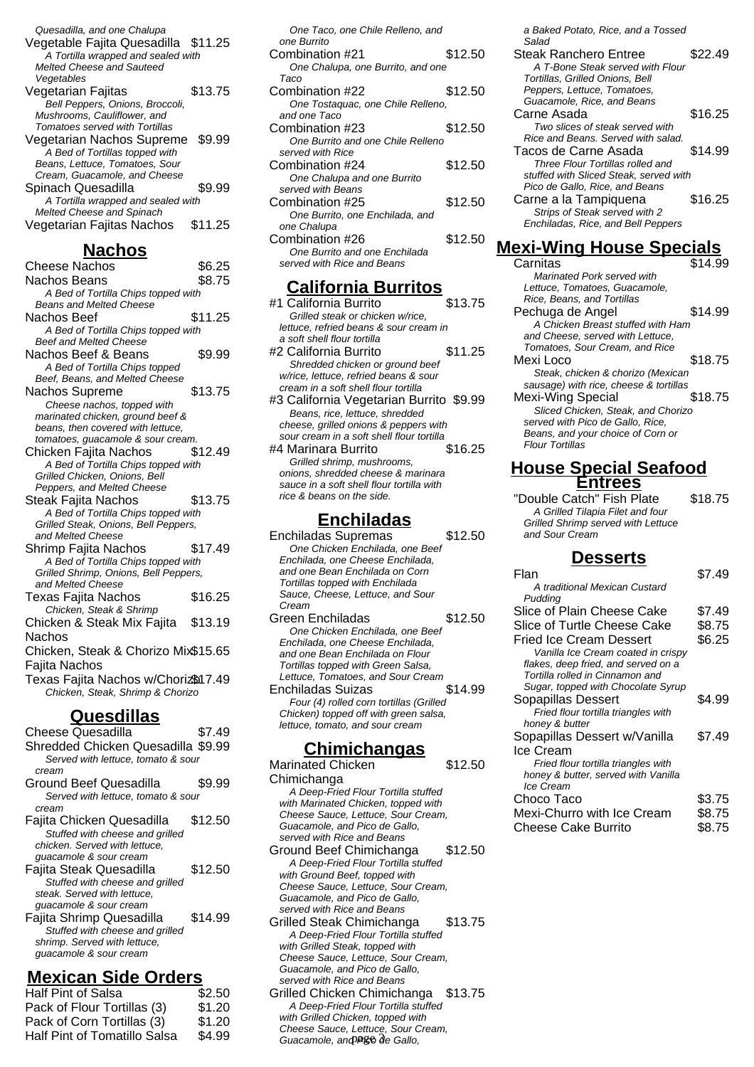| Quesadilla, and one Chalupa         |         |
|-------------------------------------|---------|
| Vegetable Fajita Quesadilla \$11.25 |         |
| A Tortilla wrapped and sealed with  |         |
| Melted Cheese and Sauteed           |         |
| Vegetables                          |         |
| Vegetarian Fajitas                  | \$13.75 |
| Bell Peppers, Onions, Broccoli,     |         |
| Mushrooms, Cauliflower, and         |         |
| Tomatoes served with Tortillas      |         |
| Vegetarian Nachos Supreme           | \$9.99  |
| A Bed of Tortillas topped with      |         |
| Beans, Lettuce, Tomatoes, Sour      |         |
| Cream, Guacamole, and Cheese        |         |
| Spinach Quesadilla                  | \$9.99  |
| A Tortilla wrapped and sealed with  |         |
| Melted Cheese and Spinach           |         |
| Vegetarian Fajitas Nachos           | \$11.25 |
|                                     |         |

### **Nachos**

| Cheese Nachos                                              | \$6.25  |
|------------------------------------------------------------|---------|
| Nachos Beans                                               | \$8.75  |
| A Bed of Tortilla Chips topped with                        |         |
| <b>Beans and Melted Cheese</b>                             |         |
| Nachos Beef                                                | \$11.25 |
| A Bed of Tortilla Chips topped with                        |         |
| <b>Beef and Melted Cheese</b>                              |         |
| Nachos Beef & Beans                                        | \$9.99  |
| A Bed of Tortilla Chips topped                             |         |
| Beef, Beans, and Melted Cheese                             |         |
| Nachos Supreme                                             | \$13.75 |
| Cheese nachos, topped with                                 |         |
| marinated chicken, ground beef &                           |         |
| beans, then covered with lettuce,                          |         |
| tomatoes, guacamole & sour cream.                          |         |
| Chicken Fajita Nachos                                      | \$12.49 |
| A Bed of Tortilla Chips topped with                        |         |
| Grilled Chicken, Onions, Bell                              |         |
| Peppers, and Melted Cheese                                 |         |
| Steak Fajita Nachos                                        | \$13.75 |
| A Bed of Tortilla Chips topped with                        |         |
| Grilled Steak, Onions, Bell Peppers,                       |         |
| and Melted Cheese                                          |         |
| Shrimp Fajita Nachos                                       | \$17.49 |
| A Bed of Tortilla Chips topped with                        |         |
| Grilled Shrimp, Onions, Bell Peppers,<br>and Melted Cheese |         |
|                                                            | \$16.25 |
| Texas Fajita Nachos                                        |         |
| Chicken, Steak & Shrimp                                    |         |
| Chicken & Steak Mix Fajita                                 | \$13.19 |
| Nachos                                                     |         |
| Chicken, Steak & Chorizo Mix\$15.65                        |         |
| Fajita Nachos                                              |         |
| Texas Fajita Nachos w/Choriz\$17.49                        |         |
| Chicken, Steak, Shrimp & Chorizo                           |         |
|                                                            |         |

### **Quesdillas**

| Cheese Quesadilla                                                                                                       | \$7.49  |
|-------------------------------------------------------------------------------------------------------------------------|---------|
| Shredded Chicken Quesadilla \$9.99<br>Served with lettuce, tomato & sour                                                |         |
| cream                                                                                                                   |         |
| Ground Beef Quesadilla                                                                                                  | \$9.99  |
| Served with lettuce, tomato & sour<br>cream                                                                             |         |
| Fajita Chicken Quesadilla<br>Stuffed with cheese and grilled<br>chicken. Served with lettuce,<br>guacamole & sour cream | \$12.50 |
| Fajita Steak Quesadilla<br>Stuffed with cheese and grilled<br>steak. Served with lettuce.<br>guacamole & sour cream     | \$12.50 |
| Fajita Shrimp Quesadilla<br>Stuffed with cheese and grilled<br>shrimp. Served with lettuce,<br>quacamole & sour cream   | \$14.99 |

### **Mexican Side Orders**

| <b>Half Pint of Salsa</b>    | \$2.50 |
|------------------------------|--------|
| Pack of Flour Tortillas (3)  | \$1.20 |
| Pack of Corn Tortillas (3)   | \$1.20 |
| Half Pint of Tomatillo Salsa | \$4.99 |
|                              |        |

| One Taco, one Chile Relleno, and<br>one Burrito             |         |
|-------------------------------------------------------------|---------|
| Combination #21                                             | \$12.50 |
| One Chalupa, one Burrito, and one<br>Taco                   |         |
| Combination #22                                             | \$12.50 |
| One Tostaguac, one Chile Relleno,                           |         |
| and one Taco<br>Combination #23                             | \$12.50 |
| One Burrito and one Chile Relleno                           |         |
| served with Rice<br>Combination #24                         | \$12.50 |
| One Chalupa and one Burrito                                 |         |
| served with Beans                                           |         |
| Combination #25<br>One Burrito, one Enchilada, and          | \$12.50 |
| one Chalupa                                                 |         |
| Combination #26                                             | \$12.50 |
| One Burrito and one Enchilada<br>served with Rice and Beans |         |
|                                                             |         |

### **California Burritos**

- #1 California Burrito \$13.75 Grilled steak or chicken w/rice, lettuce, refried beans & sour cream in a soft shell flour tortilla #2 California Burrito **\$11.25** Shredded chicken or ground beef w/rice, lettuce, refried beans & sour cream in a soft shell flour tortilla #3 California Vegetarian Burrito \$9.99 Beans, rice, lettuce, shredded
- cheese, grilled onions & peppers with sour cream in a soft shell flour tortilla #4 Marinara Burrito \$16.25 Grilled shrimp, mushrooms, onions, shredded cheese & marinara
- sauce in a soft shell flour tortilla with rice & beans on the side.

### **Enchiladas**

- Enchiladas Supremas \$12.50 One Chicken Enchilada, one Beef Enchilada, one Cheese Enchilada, and one Bean Enchilada on Corn Tortillas topped with Enchilada Sauce, Cheese, Lettuce, and Sour Cream
- Green Enchiladas **\$12.50** One Chicken Enchilada, one Beef Enchilada, one Cheese Enchilada, and one Bean Enchilada on Flour Tortillas topped with Green Salsa, Lettuce, Tomatoes, and Sour Cream Enchiladas Suizas \$14.99 Four (4) rolled corn tortillas (Grilled Chicken) topped off with green salsa, lettuce, tomato, and sour cream

### **Chimichangas**

- Marinated Chicken Chimichanga \$12.50 A Deep-Fried Flour Tortilla stuffed with Marinated Chicken, topped with Cheese Sauce, Lettuce, Sour Cream, Guacamole, and Pico de Gallo, served with Rice and Beans Ground Beef Chimichanga \$12.50 A Deep-Fried Flour Tortilla stuffed with Ground Beef, topped with Cheese Sauce, Lettuce, Sour Cream, Guacamole, and Pico de Gallo, served with Rice and Beans Grilled Steak Chimichanga \$13.75 A Deep-Fried Flour Tortilla stuffed
- with Grilled Steak, topped with Cheese Sauce, Lettuce, Sour Cream, Guacamole, and Pico de Gallo, served with Rice and Beans
- Grilled Chicken Chimichanga \$13.75 A Deep-Fried Flour Tortilla stuffed with Grilled Chicken, topped with Cheese Sauce, Lettuce, Sour Cream, Guacamole, and PR& de Gallo,

a Baked Potato, Rice, and a Tossed Salad

Steak Ranchero Entree \$22.49 A T-Bone Steak served with Flour Tortillas, Grilled Onions, Bell Peppers, Lettuce, Tomatoes, Guacamole, Rice, and Beans Carne Asada  $$16.25$ Two slices of steak served with Rice and Beans. Served with salad. Tacos de Carne Asada  $$14.99$ Three Flour Tortillas rolled and stuffed with Sliced Steak, served with Pico de Gallo, Rice, and Beans Carne a la Tampiquena \$16.25 Strips of Steak served with 2 Enchiladas, Rice, and Bell Peppers

### **Mexi-Wing House Specials**

Carnitas \$14.99 Marinated Pork served with Lettuce, Tomatoes, Guacamole, Rice, Beans, and Tortillas Pechuga de Angel \$14.99 A Chicken Breast stuffed with Ham and Cheese, served with Lettuce, Tomatoes, Sour Cream, and Rice Mexi Loco \$18.75 Steak, chicken & chorizo (Mexican sausage) with rice, cheese & tortillas Mexi-Wing Special \$18.75 Sliced Chicken, Steak, and Chorizo served with Pico de Gallo, Rice, Beans, and your choice of Corn or Flour Tortillas

#### **House Special Seafood Entrees**

"Double Catch" Fish Plate \$18.75 A Grilled Tilapia Filet and four Grilled Shrimp served with Lettuce and Sour Cream

#### **Desserts**

| \$7.49 |
|--------|
|        |
|        |
| \$7.49 |
| \$8.75 |
| \$6.25 |
|        |
|        |
|        |
|        |
| \$4.99 |
|        |
|        |
| \$7.49 |
|        |
|        |
|        |
|        |
| \$3.75 |
| \$8.75 |
| \$8.75 |
|        |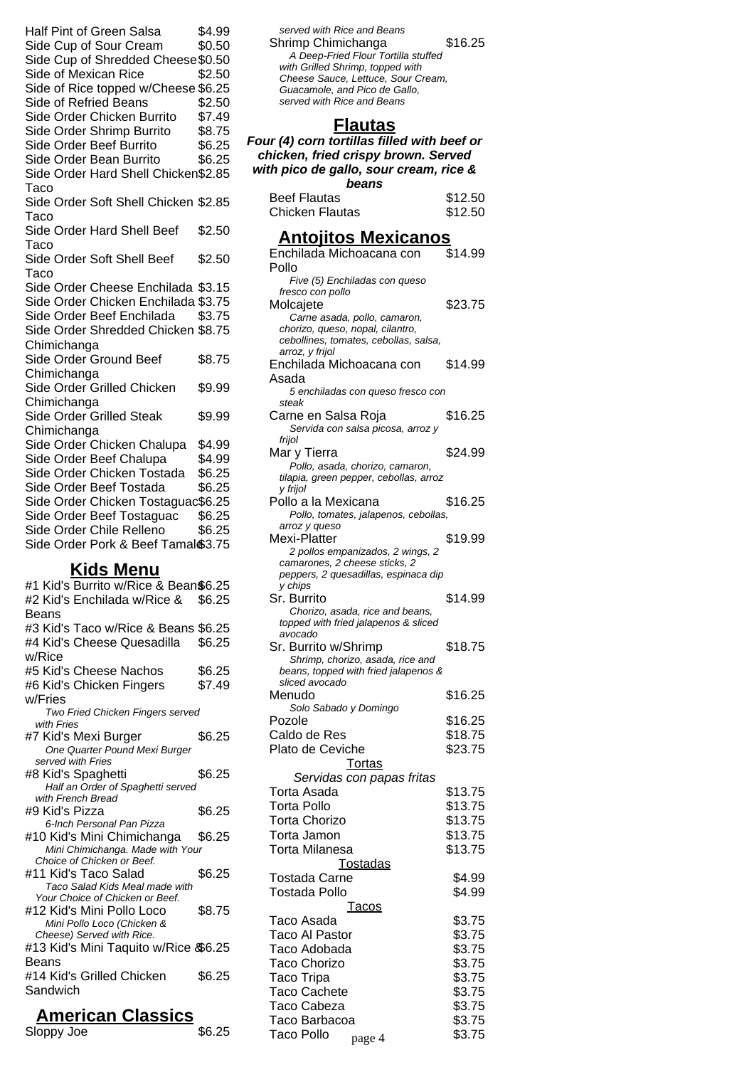Half Pint of Green Salsa \$4.99 Side Cup of Sour Cream \$0.50 Side Cup of Shredded Cheese\$0.50 Side of Mexican Rice \$2.50 Side of Rice topped w/Cheese \$6.25 Side of Refried Beans \$2.50 Side Order Chicken Burrito \$7.49 Side Order Shrimp Burrito \$8.75 Side Order Beef Burrito \$6.25 Side Order Bean Burrito \$6.25 Side Order Hard Shell Chicken \$2.85 Taco Side Order Soft Shell Chicken \$2.85 Taco Side Order Hard Shell Beef Taco \$2.50 Side Order Soft Shell Beef **Taco** \$2.50 Side Order Cheese Enchilada \$3.15 Side Order Chicken Enchilada \$3.75 Side Order Beef Enchilada \$3.75 Side Order Shredded Chicken \$8.75 **Chimichanga** Side Order Ground Beef **Chimichanga** \$8.75 Side Order Grilled Chicken **Chimichanga** \$9.99 Side Order Grilled Steak Chimichanga \$9.99 Side Order Chicken Chalupa \$4.99 Side Order Beef Chalupa \$4.99 Side Order Chicken Tostada \$6.25 Side Order Beef Tostada \$6.25 Side Order Chicken Tostaguac\$6.25 Side Order Beef Tostaguac \$6.25 Side Order Chile Relleno \$6.25 Side Order Pork & Beef Tamal \$3.75 **Kids Menu** #1 Kid's Burrito w/Rice & Bean\$6.25 #2 Kid's Enchilada w/Rice & Beans \$6.25 #3 Kid's Taco w/Rice & Beans \$6.25

#4 Kid's Cheese Quesadilla w/Rice \$6.25 #5 Kid's Cheese Nachos \$6.25 #6 Kid's Chicken Fingers w/Fries \$7.49 Two Fried Chicken Fingers served with Fries #7 Kid's Mexi Burger \$6.25 One Quarter Pound Mexi Burger served with Fries #8 Kid's Spaghetti \$6.25 Half an Order of Spaghetti served with French Bread #9 Kid's Pizza \$6.25 6-Inch Personal Pan Pizza #10 Kid's Mini Chimichanga \$6.25 Mini Chimichanga. Made with Your Choice of Chicken or Beef. #11 Kid's Taco Salad \$6.25 Taco Salad Kids Meal made with Your Choice of Chicken or Beef. #12 Kid's Mini Pollo Loco \$8.75 Mini Pollo Loco (Chicken & Cheese) Served with Rice. #13 Kid's Mini Taquito w/Rice & \$6.25 Beans #14 Kid's Grilled Chicken **Sandwich** \$6.25

### **American Classics**

Sloppy Joe  $$6.25$ 

served with Rice and Beans Shrimp Chimichanga  $$16.25$ A Deep-Fried Flour Tortilla stuffed with Grilled Shrimp, topped with Cheese Sauce, Lettuce, Sour Cream, Guacamole, and Pico de Gallo, served with Rice and Beans

### **Flautas**

| Four (4) corn tortillas filled with beef or                                   |                  |  |
|-------------------------------------------------------------------------------|------------------|--|
| chicken, fried crispy brown. Served<br>with pico de gallo, sour cream, rice & |                  |  |
| beans                                                                         |                  |  |
| <b>Beef Flautas</b>                                                           | \$12.50          |  |
| Chicken Flautas                                                               | \$12.50          |  |
| <u> Antojitos Mexicanos</u>                                                   |                  |  |
| Enchilada Michoacana con                                                      | \$14.99          |  |
| Pollo                                                                         |                  |  |
| Five (5) Enchiladas con queso                                                 |                  |  |
| fresco con pollo<br>Molcajete                                                 | \$23.75          |  |
| Carne asada, pollo, camaron,                                                  |                  |  |
| chorizo, queso, nopal, cilantro,<br>cebollines, tomates, cebollas, salsa,     |                  |  |
| arroz, y frijol                                                               |                  |  |
| Enchilada Michoacana con                                                      | \$14.99          |  |
| Asada<br>5 enchiladas con queso fresco con                                    |                  |  |
| steak                                                                         |                  |  |
| Carne en Salsa Roja                                                           | \$16.25          |  |
| Servida con salsa picosa, arroz y<br>frijol                                   |                  |  |
| Mar y Tierra                                                                  | \$24.99          |  |
| Pollo, asada, chorizo, camaron,                                               |                  |  |
| tilapia, green pepper, cebollas, arroz<br>y frijol                            |                  |  |
| Pollo a la Mexicana                                                           | \$16.25          |  |
| Pollo, tomates, jalapenos, cebollas,                                          |                  |  |
| arroz y queso<br>Mexi-Platter                                                 | \$19.99          |  |
| 2 pollos empanizados, 2 wings, 2                                              |                  |  |
| camarones, 2 cheese sticks, 2<br>peppers, 2 quesadillas, espinaca dip         |                  |  |
| y chips                                                                       |                  |  |
| Sr. Burrito                                                                   | \$14.99          |  |
| Chorizo, asada, rice and beans,<br>topped with fried jalapenos & sliced       |                  |  |
| avocado                                                                       |                  |  |
| Sr. Burrito w/Shrimp                                                          | \$18.75          |  |
| Shrimp, chorizo, asada, rice and<br>beans, topped with fried jalapenos &      |                  |  |
| sliced avocado                                                                |                  |  |
| Menudo<br>Solo Sabado y Domingo                                               | \$16.25          |  |
| Pozole                                                                        | \$16.25          |  |
| Caldo de Res                                                                  | \$18.75          |  |
| Plato de Ceviche                                                              | \$23.75          |  |
| <b>Tortas</b>                                                                 |                  |  |
| Servidas con papas fritas<br>Torta Asada                                      | \$13.75          |  |
| <b>Torta Pollo</b>                                                            | \$13.75          |  |
| <b>Torta Chorizo</b>                                                          | \$13.75          |  |
| Torta Jamon                                                                   | \$13.75          |  |
| Torta Milanesa                                                                | \$13.75          |  |
| <b>Tostadas</b><br><b>Tostada Carne</b>                                       |                  |  |
| Tostada Pollo                                                                 | \$4.99<br>\$4.99 |  |
| <u>Tacos</u>                                                                  |                  |  |
| Taco Asada                                                                    | \$3.75           |  |
| Taco Al Pastor                                                                | \$3.75           |  |
| Taco Adobada                                                                  | \$3.75           |  |
| Taco Chorizo                                                                  | \$3.75           |  |
| <b>Taco Tripa</b><br><b>Taco Cachete</b>                                      | \$3.75<br>\$3.75 |  |
| Taco Cabeza                                                                   | \$3.75           |  |
| Taco Barbacoa                                                                 | \$3.75           |  |
| Taco Pollo<br>page 4                                                          | \$3.75           |  |